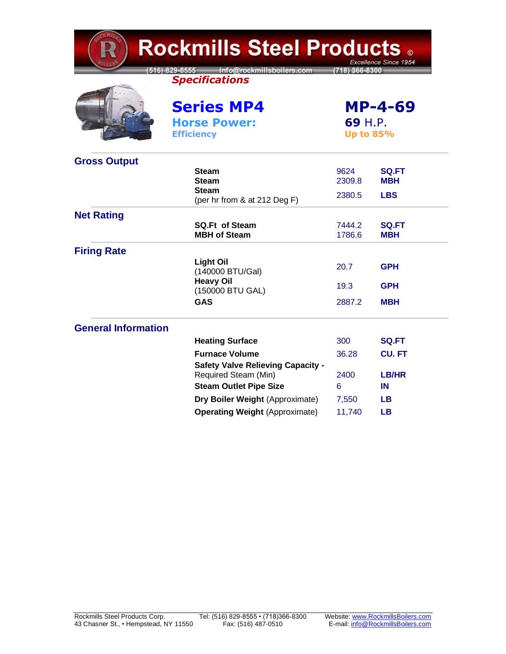| <b>Rockmills Steel Products .</b><br>Excellence Since 1954 |                                                                  |                                               |                            |  |  |
|------------------------------------------------------------|------------------------------------------------------------------|-----------------------------------------------|----------------------------|--|--|
|                                                            | 516) 829-8555 Info@rockmillsboilers.com<br><b>Specifications</b> | (718) 366-8300                                |                            |  |  |
|                                                            | <b>Series MP4</b><br><b>Horse Power:</b><br><b>Efficiency</b>    | <b>MP-4-69</b><br>69 H.P.<br><b>Up to 85%</b> |                            |  |  |
| <b>Gross Output</b>                                        |                                                                  |                                               |                            |  |  |
|                                                            | <b>Steam</b><br><b>Steam</b>                                     | 9624<br>2309.8                                | <b>SQ.FT</b><br><b>MBH</b> |  |  |
|                                                            | <b>Steam</b>                                                     |                                               |                            |  |  |
|                                                            | (per hr from & at 212 Deg F)                                     | 2380.5                                        | <b>LBS</b>                 |  |  |
| <b>Net Rating</b>                                          |                                                                  |                                               |                            |  |  |
|                                                            | <b>SQ.Ft of Steam</b><br><b>MBH of Steam</b>                     | 7444.2<br>1786.6                              | <b>SQ.FT</b><br>мвн        |  |  |
| <b>Firing Rate</b>                                         |                                                                  |                                               |                            |  |  |
|                                                            | <b>Light Oil</b><br>(140000 BTU/Gal)                             | 20.7                                          | <b>GPH</b>                 |  |  |
|                                                            | <b>Heavy Oil</b><br>(150000 BTU GAL)                             | 19.3                                          | GPH                        |  |  |
|                                                            | <b>GAS</b>                                                       | 2887.2                                        | <b>MBH</b>                 |  |  |
| <b>General Information</b>                                 |                                                                  |                                               |                            |  |  |
|                                                            | <b>Heating Surface</b>                                           | 300                                           | <b>SQ.FT</b>               |  |  |
|                                                            | <b>Furnace Volume</b>                                            | 36.28                                         | <b>CU.FT</b>               |  |  |
|                                                            | <b>Safety Valve Relieving Capacity -</b><br>Required Steam (Min) | 2400                                          | LB/HR                      |  |  |
|                                                            | <b>Steam Outlet Pipe Size</b>                                    | 6                                             | IN                         |  |  |
|                                                            | Dry Boiler Weight (Approximate)                                  | 7,550                                         | LB.                        |  |  |
|                                                            | <b>Operating Weight (Approximate)</b>                            | 11,740                                        | LВ                         |  |  |

**TEMP**